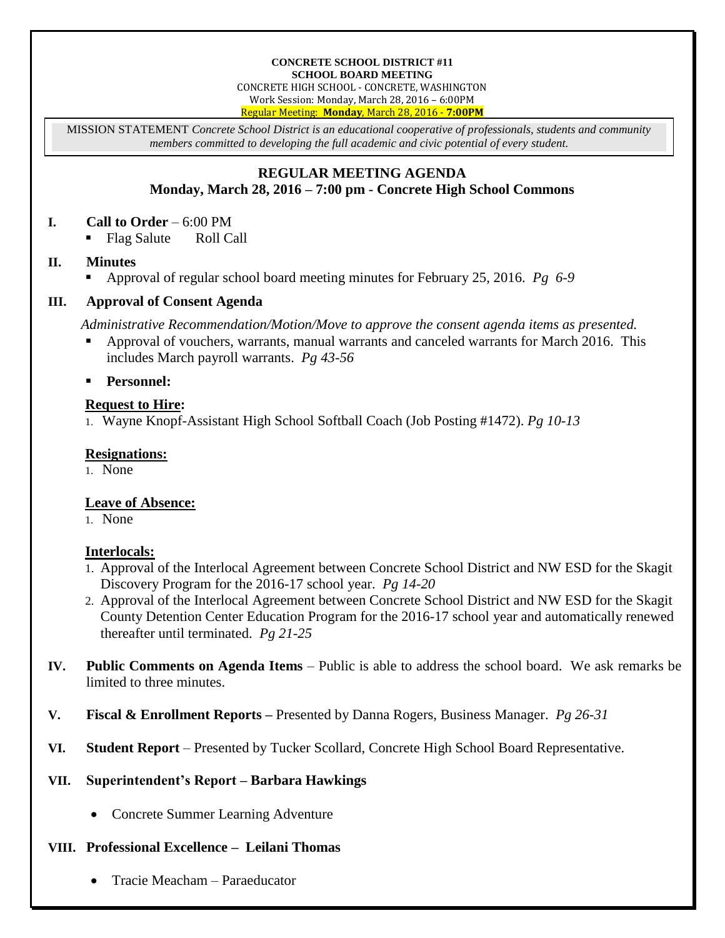#### **CONCRETE SCHOOL DISTRICT #11 SCHOOL BOARD MEETING**

CONCRETE HIGH SCHOOL - CONCRETE, WASHINGTON

Work Session: Monday, March 28, 2016 – 6:00PM Regular Meeting: **Monday**, March 28, 2016 - **7:00PM**

MISSION STATEMENT *Concrete School District is an educational cooperative of professionals, students and community members committed to developing the full academic and civic potential of every student.*

## **REGULAR MEETING AGENDA Monday, March 28, 2016 – 7:00 pm - Concrete High School Commons**

#### **I. Call to Order** – 6:00 PM

Flag Salute Roll Call

#### **II. Minutes**

Approval of regular school board meeting minutes for February 25, 2016. *Pg 6-9*

## **III. Approval of Consent Agenda**

*Administrative Recommendation/Motion/Move to approve the consent agenda items as presented.*

 Approval of vouchers, warrants, manual warrants and canceled warrants for March 2016. This includes March payroll warrants. *Pg 43-56*

**Personnel:**

## **Request to Hire:**

1. Wayne Knopf-Assistant High School Softball Coach (Job Posting #1472). *Pg 10-13*

## **Resignations:**

1. None

## **Leave of Absence:**

1. None

## **Interlocals:**

- 1. Approval of the Interlocal Agreement between Concrete School District and NW ESD for the Skagit Discovery Program for the 2016-17 school year. *Pg 14-20*
- 2. Approval of the Interlocal Agreement between Concrete School District and NW ESD for the Skagit County Detention Center Education Program for the 2016-17 school year and automatically renewed thereafter until terminated. *Pg 21-25*
- **IV. Public Comments on Agenda Items** Public is able to address the school board. We ask remarks be limited to three minutes.
- **V. Fiscal & Enrollment Reports –** Presented by Danna Rogers, Business Manager. *Pg 26-31*
- **VI. Student Report** Presented by Tucker Scollard, Concrete High School Board Representative.

## **VII. Superintendent's Report – Barbara Hawkings**

Concrete Summer Learning Adventure

# **VIII. Professional Excellence – Leilani Thomas**

Tracie Meacham – Paraeducator